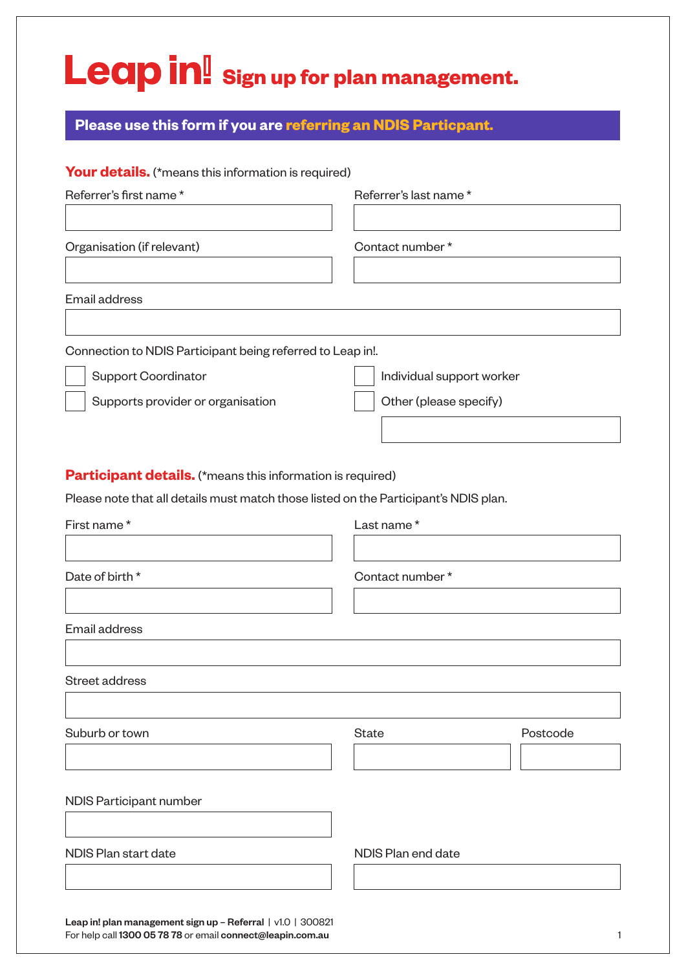## Leap in! Sign up for plan management.

**Please use this form if you are referring an NDIS Particpant.**

|                                                                                      | Referrer's last name*     |
|--------------------------------------------------------------------------------------|---------------------------|
| Organisation (if relevant)                                                           | Contact number*           |
| Email address                                                                        |                           |
| Connection to NDIS Participant being referred to Leap in!.                           |                           |
| <b>Support Coordinator</b>                                                           | Individual support worker |
| Supports provider or organisation                                                    | Other (please specify)    |
| Participant details. (*means this information is required)                           |                           |
| Please note that all details must match those listed on the Participant's NDIS plan. |                           |
| First name*                                                                          | Last name*                |
| Date of birth *                                                                      | Contact number*           |
| Email address                                                                        |                           |
| Street address                                                                       |                           |
| Suburb or town                                                                       | <b>State</b><br>Postcode  |
|                                                                                      |                           |
| NDIS Participant number                                                              |                           |

For help call 1300 05 78 78 or email connect@leapin.com.au 1